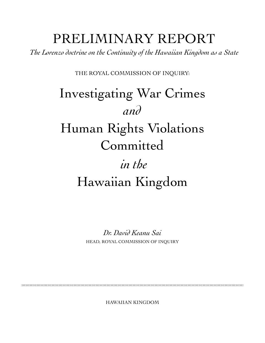# PRELIMINARY REPORT

*The Lorenzo doctrine on the Continuity of the Hawaiian Kingdom as a State*

THE ROYAL COMMISSION OF INQUIRY:

# *in the* Hawaiian Kingdom Investigating War Crimes *and* Human Rights Violations Committed

*Dr. David Keanu Sai* HEAD, ROYAL COMMISSION OF INQUIRY

HAWAIIAN KINGDOM

**EXECUTION CONTROL CONTROL CONTROL CONTROL CONTROL CONTROL CONTROL CONTROL CONTROL CONTROL CONTROL CONTROL CONTROL**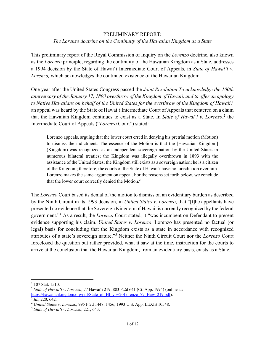## PRELIMINARY REPORT: *The Lorenzo doctrine on the Continuity of the Hawaiian Kingdom as a State*

This preliminary report of the Royal Commission of Inquiry on the *Lorenzo* doctrine, also known as the *Lorenzo* principle, regarding the continuity of the Hawaiian Kingdom as a State, addresses a 1994 decision by the State of Hawai'i Intermediate Court of Appeals, in *State of Hawai'i v. Lorenzo,* which acknowledges the continued existence of the Hawaiian Kingdom.

One year after the United States Congress passed the *Joint Resolution To acknowledge the 100th anniversary of the January 17, 1893 overthrow of the Kingdom of Hawaii, and to offer an apology*  to Native Hawaiians on behalf of the United States for the overthrow of the Kingdom of Hawaii,<sup>1</sup> an appeal was heard by the State of Hawai'i Intermediate Court of Appeals that centered on a claim that the Hawaiian Kingdom continues to exist as a State. In *State of Hawai'i v. Lorenzo*, <sup>2</sup> the Intermediate Court of Appeals ("*Lorenzo* Court") stated:

Lorenzo appeals, arguing that the lower court erred in denying his pretrial motion (Motion) to dismiss the indictment. The essence of the Motion is that the [Hawaiian Kingdom] (Kingdom) was recognized as an independent sovereign nation by the United States in numerous bilateral treaties; the Kingdom was illegally overthrown in 1893 with the assistance of the United States; the Kingdom still exists as a sovereign nation; he is a citizen of the Kingdom; therefore, the courts of the State of Hawai'i have no jurisdiction over him. Lorenzo makes the same argument on appeal. For the reasons set forth below, we conclude that the lower court correctly denied the Motion.<sup>3</sup>

The *Lorenzo* Court based its denial of the motion to dismiss on an evidentiary burden as described by the Ninth Circuit in its 1993 decision, in *United States v. Lorenzo*, that "[t]he appellants have presented no evidence that the Sovereign Kingdom of Hawaii is currently recognized by the federal government."4 As a result, the *Lorenzo* Court stated, it "was incumbent on Defendant to present evidence supporting his claim. *United States v. Lorenzo*. Lorenzo has presented no factual (or legal) basis for concluding that the Kingdom exists as a state in accordance with recognized attributes of a state's sovereign nature."5 Neither the Ninth Circuit Court nor the *Lorenzo* Court foreclosed the question but rather provided, what it saw at the time, instruction for the courts to arrive at the conclusion that the Hawaiian Kingdom, from an evidentiary basis, exists as a State.

<sup>&</sup>lt;sup>1</sup> 107 Stat. 1510.

<sup>2</sup> *State of Hawai'i v. Lorenzo*, 77 Hawai'i 219; 883 P.2d 641 (Ct. App. 1994) (online at: https://hawaiiankingdom.org/pdf/State\_of\_HI\_v.%20Lorenzo\_77\_Haw\_219.pdf). 3 *Id*., 220, 642.

<sup>4</sup> *United States v. Lorenzo*, 995 F.2d 1448, 1456; 1993 U.S. App. LEXIS 10548.

<sup>5</sup> *State of Hawai'i v. Lorenzo*, 221; 643.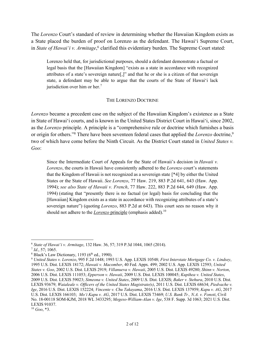The *Lorenzo* Court's standard of review in determining whether the Hawaiian Kingdom exists as a State placed the burden of proof on Lorenzo as the defendant. The Hawai'i Supreme Court, in *State of Hawai'i v. Armitage*, <sup>6</sup> clarified this evidentiary burden. The Supreme Court stated:

Lorenzo held that, for jurisdictional purposes, should a defendant demonstrate a factual or legal basis that the [Hawaiian Kingdom] "exists as a state in accordance with recognized attributes of a state's sovereign nature[,]" and that he or she is a citizen of that sovereign state, a defendant may be able to argue that the courts of the State of Hawai'i lack jurisdiction over him or her.<sup>7</sup>

#### THE LORENZO DOCTRINE

*Lorenzo* became a precedent case on the subject of the Hawaiian Kingdom's existence as a State in State of Hawai'i courts, and is known in the United States District Court in Hawai'i, since 2002, as the *Lorenzo* principle. A principle is a "comprehensive rule or doctrine which furnishes a basis or origin for others."8 There have been seventeen federal cases that applied the *Lorenzo* doctrine, 9 two of which have come before the Ninth Circuit. As the District Court stated in *United States v. Goo*:

Since the Intermediate Court of Appeals for the State of Hawaii's decision in *Hawaii v. Lorenzo*, the courts in Hawaii have consistently adhered to the *Lorenzo* court's statements that the Kingdom of Hawaii is not recognized as a sovereign state [\*4] by either the United States or the State of Hawaii. *See Lorenzo*, 77 Haw. 219, 883 P.2d 641, 643 (Haw. App. 1994); *see also State of Hawaii v. French*, 77 Haw. 222, 883 P.2d 644, 649 (Haw. App. 1994) (stating that "presently there is no factual (or legal) basis for concluding that the [Hawaiian] Kingdom exists as a state in accordance with recognizing attributes of a state's sovereign nature") (quoting *Lorenzo*, 883 P.2d at 643). This court sees no reason why it should not adhere to the *Lorenzo* principle (emphasis added).<sup>10</sup>

<sup>6</sup> *State of Hawai'i v. Armitage*, 132 Haw. 36, 57; 319 P.3d 1044, 1065 (2014).

<sup>7</sup> *Id*., 57; 1065.

 $8$  Black's Law Dictionary, 1193 ( $6<sup>th</sup>$  ed., 1990).

<sup>9</sup> *United States v. Lorenzo*, 995 F.2d 1448; 1993 U.S. App. LEXIS 10548; *First Interstate Mortgage Co. v. Lindsey*, 1995 U.S. Dist. LEXIS 18172; *Hawaii v. Macomber*, 40 Fed. Appx. 499; 2002 U.S. App. LEXIS 12593; *United States v. Goo*, 2002 U.S. Dist. LEXIS 2919; *Villanueva v. Hawaii*, 2005 U.S. Dist. LEXIS 49280; *Shinn v. Norton*, 2006 U.S. Dist. LEXIS 111053; *Epperson v. Hawaii*, 2009 U.S. Dist. LEXIS 100045; *Kupihea v. United States*, 2009 U.S. Dist. LEXIS 59023; *Simeona v. United States*, 2009 U.S. Dist. LEXIS; *Baker v. Stehura*, 2010 U.S. Dist. LEXIS 93679; *Waialeale v. Officers of the United States Magistrate(s)*, 2011 U.S. Dist. LEXIS 68634; *Piedvache v. Ige*, 2016 U.S. Dist. LEXIS 152224; *Vincente v. Chu Takayama*, 2016 U.S. Dist. LEXIS 137959; *Kapu v. AG*, 2017 U.S. Dist. LEXIS 166103; *Mo'i Kapu v. AG*, 2017 U.S. Dist. LEXIS 73469; *U.S. Bank Tr., N.A. v. Fonoti*, Civil No. 18-00118 SOM-KJM, 2018 WL 3433295; *Megeso-William-Alan v. Ige*, 538 F. Supp. 3d 1063; 2021 U.S. Dist. LEXIS 91037.

 $10\, Goo, *3.$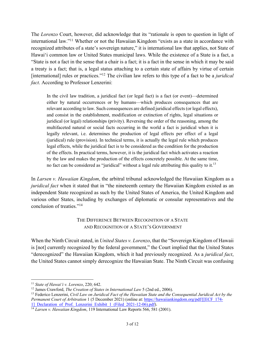The *Lorenzo* Court, however, did acknowledge that its "rationale is open to question in light of international law."11 Whether or not the Hawaiian Kingdom "exists as a state in accordance with recognized attributes of a state's sovereign nature," it is international law that applies, not State of Hawai'i common law or United States municipal laws. While the existence of a State is a fact, a "State is not a fact in the sense that a chair is a fact; it is a fact in the sense in which it may be said a treaty is a fact; that is, a legal status attaching to a certain state of affairs by virtue of certain [international] rules or practices."12 The civilian law refers to this type of a fact to be a *juridical fact*. According to Professor Lenzerini:

In the civil law tradition, a juridical fact (or legal fact) is a fact (or event)—determined either by natural occurrences or by humans—which produces consequences that are relevant according to law. Such consequences are defined juridical effects (or legal effects), and consist in the establishment, modification or extinction of rights, legal situations or juridical (or legal) relationships (privity). Reversing the order of the reasoning, among the multifaceted natural or social facts occurring in the world a fact is juridical when it is legally relevant, i.e. determines the production of legal effects per effect of a legal (juridical) rule (provision). In technical terms, it is actually the legal rule which produces legal effects, while the juridical fact is to be considered as the condition for the production of the effects. In practical terms, however, it is the juridical fact which activates a reaction by the law and makes the production of the effects concretely possible. At the same time, no fact can be considered as "juridical" without a legal rule attributing this quality to it.<sup>13</sup>

In *Larsen v. Hawaiian Kingdom*, the arbitral tribunal acknowledged the Hawaiian Kingdom as a *juridical fact* when it stated that in "the nineteenth century the Hawaiian Kingdom existed as an independent State recognized as such by the United States of America, the United Kingdom and various other States, including by exchanges of diplomatic or consular representatives and the conclusion of treaties."14

### THE DIFFERENCE BETWEEN RECOGNITION OF A STATE AND RECOGNITION OF A STATE'S GOVERNMENT

When the Ninth Circuit stated, in *United States v. Lorenzo*, that the "Sovereign Kingdom of Hawaii is [not] currently recognized by the federal government," the Court implied that the United States "derecognized" the Hawaiian Kingdom, which it had previously recognized. As a *juridical fact*, the United States cannot simply derecognize the Hawaiian State. The Ninth Circuit was confusing

<sup>11</sup> *State of Hawai'i v. Lorenzo*, 220; 642.

<sup>12</sup> James Crawford, *The Creation of States in International Law* 5 (2nd ed., 2006).

<sup>13</sup> Federico Lenzerini, *Civil Law on Juridical Fact of the Hawaiian State and the Consequential Juridical Act by the Permanent Court of Arbitration* 1 (5 December 2021) (online at: https://hawaiiankingdom.org/pdf/[[ECF\_174- 1] Declaration\_of\_Prof.\_Lenzerini\_Exhibit\_1\_(Filed\_2021-12-06).pdf).<br><sup>14</sup> *Larsen v. Hawaiian Kingdom*, 119 International Law Reports 566, 581 (2001).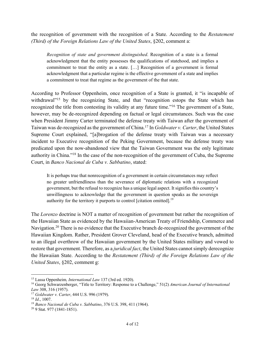the recognition of government with the recognition of a State. According to the *Restatement (Third) of the Foreign Relations Law of the United States*, §202, comment a:

*Recognition of state and government distinguished*. Recognition of a state is a formal acknowledgment that the entity possesses the qualifications of statehood, and implies a commitment to treat the entity as a state. […] Recognition of a government is formal acknowledgment that a particular regime is the effective government of a state and implies a commitment to treat that regime as the government of the that state.

According to Professor Oppenheim, once recognition of a State is granted, it "is incapable of withdrawal<sup>"15</sup> by the recognizing State, and that "recognition estops the State which has recognized the title from contesting its validity at any future time."16 The government of a State, however, may be de-recognized depending on factual or legal circumstances. Such was the case when President Jimmy Carter terminated the defense treaty with Taiwan after the government of Taiwan was de-recognized as the government of China.17 In *Goldwater v. Carter*, the United States Supreme Court explained, "[a]brogation of the defense treaty with Taiwan was a necessary incident to Executive recognition of the Peking Government, because the defense treaty was predicated upon the now-abandoned view that the Taiwan Government was the only legitimate authority in China."18 In the case of the non-recognition of the government of Cuba, the Supreme Court, in *Banco Nacional de Cuba v. Sabbatino*, stated:

It is perhaps true that nonrecognition of a government in certain circumstances may reflect no greater unfriendliness than the severance of diplomatic relations with a recognized government, but the refusal to recognize has a unique legal aspect. It signifies this country's unwillingness to acknowledge that the government in question speaks as the sovereign authority for the territory it purports to control [citation omitted].<sup>19</sup>

The *Lorenzo* doctrine is NOT a matter of recognition of government but rather the recognition of the Hawaiian State as evidenced by the Hawaiian-American Treaty of Friendship, Commerce and Navigation.<sup>20</sup> There is no evidence that the Executive branch de-recognized the government of the Hawaiian Kingdom. Rather, President Grover Cleveland, head of the Executive branch, admitted to an illegal overthrow of the Hawaiian government by the United States military and vowed to restore that government. Therefore, as a *juridical fact*, the United States cannot simply derecognize the Hawaiian State. According to the *Restatement (Third) of the Foreign Relations Law of the United States*, §202, comment g:

<sup>15</sup> Lassa Oppenheim*, International Law* 137 (3rd ed. 1920).

<sup>16</sup> Georg Schwarzenberger, "Title to Territory: Response to a Challenge," 51(2) *American Journal of International Law* 308, 316 (1957).

<sup>17</sup> *Goldwater v. Carter*, 444 U.S. 996 (1979).

<sup>18</sup> *Id*., 1007.

<sup>19</sup> *Banco Nacional de Cuba v. Sabbatino*, 376 U.S. 398, 411 (1964).

<sup>20</sup> 9 Stat. 977 (1841-1851).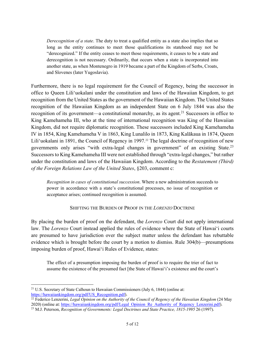*Derecognition of a state*. The duty to treat a qualified entity as a state also implies that so long as the entity continues to meet those qualifications its statehood may not be "derecognized." If the entity ceases to meet those requirements, it ceases to be a state and derecognition is not necessary. Ordinarily, that occurs when a state is incorporated into another state, as when Montenegro in 1919 became a part of the Kingdom of Serbs, Croats, and Slovenes (later Yugoslavia).

Furthermore, there is no legal requirement for the Council of Regency, being the successor in office to Queen Lili'uokalani under the constitution and laws of the Hawaiian Kingdom, to get recognition from the United States as the government of the Hawaiian Kingdom. The United States recognition of the Hawaiian Kingdom as an independent State on 6 July 1844 was also the recognition of its government—a constitutional monarchy, as its agent.<sup>21</sup> Successors in office to King Kamehameha III, who at the time of international recognition was King of the Hawaiian Kingdom, did not require diplomatic recognition. These successors included King Kamehameha IV in 1854, King Kamehameha V in 1863, King Lunalilo in 1873, King Kalākaua in 1874, Queen Lili'uokalani in 1891, the Council of Regency in 1997.<sup>22</sup> The legal doctrine of recognition of new governments only arises "with extra-legal changes in government" of an existing State.23 Successors to King Kamehameha III were not established through "extra-legal changes," but rather under the constitution and laws of the Hawaiian Kingdom. According to the *Restatement (Third) of the Foreign Relations Law of the United States*, §203, comment c:

*Recognition in cases of constitutional succession*. Where a new administration succeeds to power in accordance with a state's constitutional processes, no issue of recognition or acceptance arises; continued recognition is assumed.

#### SHIFTING THE BURDEN OF PROOF IN THE *LORENZO* DOCTRINE

By placing the burden of proof on the defendant, the *Lorenzo* Court did not apply international law. The *Lorenzo* Court instead applied the rules of evidence where the State of Hawai'i courts are presumed to have jurisdiction over the subject matter unless the defendant has rebuttable evidence which is brought before the court by a motion to dismiss. Rule 304(b)—presumptions imposing burden of proof, Hawai'i Rules of Evidence, states:

The effect of a presumption imposing the burden of proof is to require the trier of fact to assume the existence of the presumed fact [the State of Hawai'i's existence and the court's

 $\frac{1}{22}$  Federico Lenzerini, *Legal Opinion on the Authority of the Council of Regency of the Hawaiian Kingdom* (24 May 2020) (online at: https://hawaiiankingdom.org/pdf/Legal\_Opinion\_Re\_Authority\_of\_Regency\_Lenzerini.pdf).

<sup>&</sup>lt;sup>21</sup> U.S. Secretary of State Calhoun to Hawaiian Commissioners (July 6, 1844) (online at: https://hawaiiankingdom.org/pdf/US Recognition.pdf).

<sup>&</sup>lt;sup>23</sup> M.J. Peterson, *Recognition of Governments: Legal Doctrines and State Practice, 1815-1995* 26 (1997).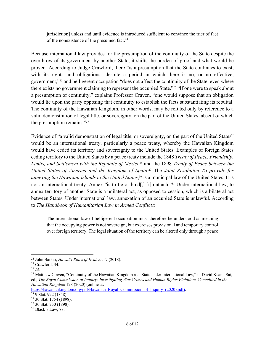jurisdiction] unless and until evidence is introduced sufficient to convince the trier of fact of the nonexistence of the presumed fact.<sup>24</sup>

Because international law provides for the presumption of the continuity of the State despite the overthrow of its government by another State, it shifts the burden of proof and what would be proven. According to Judge Crawford, there "is a presumption that the State continues to exist, with its rights and obligations…despite a period in which there is no, or no effective, government,"25 and belligerent occupation "does not affect the continuity of the State, even where there exists no government claiming to represent the occupied State."26 "If one were to speak about a presumption of continuity," explains Professor Craven, "one would suppose that an obligation would lie upon the party opposing that continuity to establish the facts substantiating its rebuttal. The continuity of the Hawaiian Kingdom, in other words, may be refuted only by reference to a valid demonstration of legal title, or sovereignty, on the part of the United States, absent of which the presumption remains."27

Evidence of "a valid demonstration of legal title, or sovereignty, on the part of the United States" would be an international treaty, particularly a peace treaty, whereby the Hawaiian Kingdom would have ceded its territory and sovereignty to the United States. Examples of foreign States ceding territory to the United States by a peace treaty include the 1848 *Treaty of Peace, Friendship,*  Limits, and Settlement with the Republic of Mexico<sup>28</sup> and the 1898 *Treaty of Peace between the United States of America and the Kingdom of Spain*. <sup>29</sup> The *Joint Resolution To provide for annexing the Hawaiian Islands to the United States*, <sup>30</sup> is a municipal law of the United States. It is not an international treaty. Annex "is to tie or bind[,] [t]o attach."31 Under international law, to annex territory of another State is a unilateral act, as opposed to cession, which is a bilateral act between States. Under international law, annexation of an occupied State is unlawful. According to *The Handbook of Humanitarian Law in Armed Conflicts*:

The international law of belligerent occupation must therefore be understood as meaning that the occupying power is not sovereign, but exercises provisional and temporary control over foreign territory. The legal situation of the territory can be altered only through a peace

https://hawaiiankingdom.org/pdf/Hawaiian\_Royal\_Commission\_of\_Inquiry\_(2020).pdf).

<sup>24</sup> John Barkai, *Hawai'i Rules of Evidence* 7 (2018).

<sup>25</sup> Crawford, 34.

<sup>26</sup> *Id*.

<sup>&</sup>lt;sup>27</sup> Matthew Craven, "Continuity of the Hawaiian Kingdom as a State under International Law," in David Keanu Sai, ed., *The Royal Commission of Inquiry: Investigating War Crimes and Human Rights Violations Committed in the Hawaiian Kingdom* 128 (2020) (online at:

<sup>28</sup> 9 Stat. 922 (1848).

<sup>29</sup> 30 Stat. 1754 (1898).

<sup>30</sup> 30 Stat. 750 (1898).

<sup>&</sup>lt;sup>31</sup> Black's Law, 88.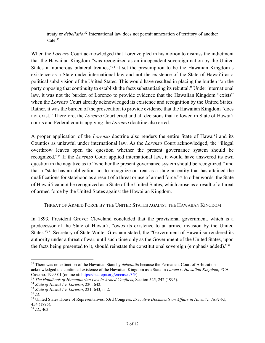treaty or *debellatio*. <sup>32</sup> International law does not permit annexation of territory of another state.<sup>33</sup>

When the *Lorenzo* Court acknowledged that Lorenzo pled in his motion to dismiss the indictment that the Hawaiian Kingdom "was recognized as an independent sovereign nation by the United States in numerous bilateral treaties,"<sup>34</sup> it set the presumption to be the Hawaiian Kingdom's existence as a State under international law and not the existence of the State of Hawai'i as a political subdivision of the United States. This would have resulted in placing the burden "on the party opposing that continuity to establish the facts substantiating its rebuttal." Under international law, it was not the burden of Lorenzo to provide evidence that the Hawaiian Kingdom "exists" when the *Lorenzo* Court already acknowledged its existence and recognition by the United States. Rather, it was the burden of the prosecution to provide evidence that the Hawaiian Kingdom "does not exist." Therefore, the *Lorenzo* Court erred and all decisions that followed in State of Hawai'i courts and Federal courts applying the *Lorenzo* doctrine also erred.

A proper application of the *Lorenzo* doctrine also renders the entire State of Hawai'i and its Counties as unlawful under international law. As the *Lorenzo* Court acknowledged, the "illegal overthrow leaves open the question whether the present governance system should be recognized."35 If the *Lorenzo* Court applied international law, it would have answered its own question in the negative as to "whether the present governance system should be recognized," and that a "state has an obligation not to recognize or treat as a state an entity that has attained the qualifications for statehood as a result of a threat or use of armed force."36 In other words, the State of Hawai'i cannot be recognized as a State of the United States, which arose as a result of a threat of armed force by the United States against the Hawaiian Kingdom.

#### THREAT OF ARMED FORCE BY THE UNITED STATES AGAINST THE HAWAIIAN KINGDOM

In 1893, President Grover Cleveland concluded that the provisional government, which is a predecessor of the State of Hawai'i, "owes its existence to an armed invasion by the United States."37 Secretary of State Walter Gresham stated, the "Government of Hawaii surrendered its authority under a threat of war, until such time only as the Government of the United States, upon the facts being presented to it, should reinstate the constitutional sovereign (emphasis added)."38

<sup>32</sup> There was no extinction of the Hawaiian State by *debellatio* because the Permanent Court of Arbitration acknowledged the continued existence of the Hawaiian Kingdom as a State in *Larsen v. Hawaiian Kingdom*, PCA Case no. 1999-01 (online at: https://pca-cpa.org/en/cases/35/).

<sup>33</sup> *The Handbook of Humanitarian Law in Armed Conflicts*, Section 525, 242 (1995).

<sup>34</sup> *State of Hawai'i v. Lorenzo*, 220; 642.

<sup>35</sup> *State of Hawai'i v. Lorenzo*, 221; 643, n. 2.

<sup>36</sup> *Id*.

<sup>37</sup> United States House of Representatives, 53rd Congress, *Executive Documents on Affairs in Hawai'i: 1894-95*, 454 (1895).

<sup>38</sup> *Id*., 463.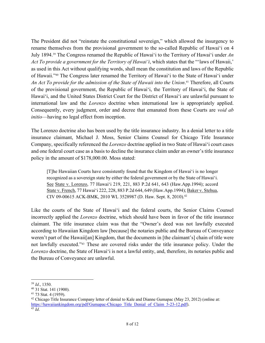The President did not "reinstate the constitutional sovereign," which allowed the insurgency to rename themselves from the provisional government to the so-called Republic of Hawai'i on 4 July 1894.39 The Congress renamed the Republic of Hawai'i to the Territory of Hawai'i under *An Act To provide a government for the Territory of Hawai'i*, which states that the "'laws of Hawaii,' as used in this Act without qualifying words, shall mean the constitution and laws of the Republic of Hawaii."40 The Congress later renamed the Territory of Hawai'i to the State of Hawai'i under *An Act To provide for the admission of the State of Hawaii into the Union*. <sup>41</sup> Therefore, all Courts of the provisional government, the Republic of Hawai'i, the Territory of Hawai'i, the State of Hawai'i, and the United States District Court for the District of Hawai'i are unlawful pursuant to international law and the *Lorenzo* doctrine when international law is appropriately applied. Consequently, every judgment, order and decree that emanated from these Courts are *void ab initio*—having no legal effect from inception.

The Lorenzo doctrine also has been used by the title insurance industry. In a denial letter to a title insurance claimant, Michael J. Moss, Senior Claims Counsel for Chicago Title Insurance Company, specifically referenced the *Lorenzo* doctrine applied in two State of Hawai'i court cases and one federal court case as a basis to decline the insurance claim under an owner's title insurance policy in the amount of \$178,000.00. Moss stated:

[T]he Hawaiian Courts have consistently found that the Kingdom of Hawai'i is no longer recognized as a sovereign state by either the federal government or by the State of Hawai'i. See State v. Lorenzo, 77 Hawai'i 219, 221, 883 P.2d 641, 643 (Haw.App.1994); accord State v. French, 77 Hawai'i 222, 228, 883 P.2d 644, 649 (Haw.App.1994); Baker v. Stehua, CIV 09-00615 ACK-BMK, 2010 WL 3528987 (D. Haw. Sept. 8, 2010).42

Like the courts of the State of Hawai'i and the federal courts, the Senior Claims Counsel incorrectly applied the *Lorenzo* doctrine, which should have been in favor of the title insurance claimant. The title insurance claim was that the "Owner's deed was not lawfully executed according to Hawaiian Kingdom law [because] the notaries public and the Bureau of Conveyance weren't part of the Hawaii[an] Kingdom, that the documents in [the claimant's] chain of title were not lawfully executed."43 These are covered risks under the title insurance policy. Under the *Lorenzo* doctrine, the State of Hawai'i is not a lawful entity, and, therefore, its notaries public and the Bureau of Conveyance are unlawful.

<sup>39</sup> *Id*., 1350.

<sup>40</sup> 31 Stat. 141 (1900).

<sup>41</sup> 73 Stat. 4 (1959).

<sup>&</sup>lt;sup>42</sup> Chicago Title Insurance Company letter of denial to Kale and Dianne Gumapac (May 23, 2012) (online at: https://hawaiiankingdom.org/pdf/Gumapac-Chicago\_Title\_Denial\_of\_Claim\_5-23-12.pdf). 43 *Id*.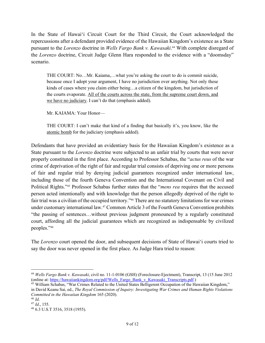In the State of Hawai'i Circuit Court for the Third Circuit, the Court acknowledged the repercussions after a defendant provided evidence of the Hawaiian Kingdom's existence as a State pursuant to the *Lorenzo* doctrine in *Wells Fargo Bank v. Kawasaki*. <sup>44</sup> With complete disregard of the *Lorenzo* doctrine, Circuit Judge Glenn Hara responded to the evidence with a "doomsday" scenario.

THE COURT: No…Mr. Kaiama,…what you're asking the court to do is commit suicide, because once I adopt your argument, I have no jurisdiction over anything. Not only these kinds of cases where you claim either being…a citizen of the kingdom, but jurisdiction of the courts evaporate. All of the courts across the state, from the supreme court down, and we have no judiciary. I can't do that (emphasis added).

Mr. KAIAMA: Your Honor—

THE COURT: I can't make that kind of a finding that basically it's, you know, like the atomic bomb for the judiciary (emphasis added).

Defendants that have provided an evidentiary basis for the Hawaiian Kingdom's existence as a State pursuant to the *Lorenzo* doctrine were subjected to an unfair trial by courts that were never properly constituted in the first place. According to Professor Schabas, the "*actus reus* of the war crime of deprivation of the right of fair and regular trial consists of depriving one or more persons of fair and regular trial by denying judicial guarantees recognized under international law, including those of the fourth Geneva Convention and the International Covenant on Civil and Political Rights."45 Professor Schabas further states that the "*mens rea* requires that the accused person acted intentionally and with knowledge that the person allegedly deprived of the right to fair trial was a civilian of the occupied territory."46 There are no statutory limitations for war crimes under customary international law.47 Common Article 3 of the Fourth Geneva Convention prohibits "the passing of sentences…without previous judgment pronounced by a regularly constituted court, affording all the judicial guarantees which are recognized as indispensable by civilized peoples."48

The *Lorenzo* court opened the door, and subsequent decisions of State of Hawai'i courts tried to say the door was never opened in the first place. As Judge Hara tried to reason:

<sup>&</sup>lt;sup>44</sup> *Wells Fargo Bank v. Kawasaki*, civil no. 11-1-0106 (GSH) (Foreclosure-Ejectment), Transcript, 13 (15 June 2012 (online at: https://hawaiiankingdom.org/pdf/Wells Fargo Bank v Kawasaki Transcripts.pdf.)

<sup>&</sup>lt;sup>45</sup> William Schabas, "War Crimes Related to the United States Belligerent Occupation of the Hawaiian Kingdom," in David Keanu Sai, ed., *The Royal Commission of Inquiry: Investigating War Crimes and Human Rights Violations Committed in the Hawaiian Kingdom* 165 (2020).

<sup>46</sup> *Id*.

<sup>47</sup> *Id*., 155.

<sup>48</sup> 6.3 U.S.T 3516, 3518 (1955).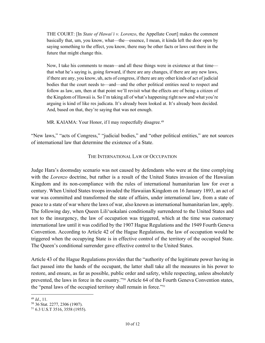THE COURT: [In *State of Hawai'i v. Lorenzo*, the Appellate Court] makes the comment basically that, um, you know, what—the—essence, I mean, it kinda left the door open by saying something to the effect, you know, there may be other facts or laws out there in the future that might change this.

Now, I take his comments to mean—and all these things were in existence at that time that what he's saying is, going forward, if there are any changes, if there are any new laws, if there are any, you know, uh, acts of congress, if there are any other kinds of act of judicial bodies that the court needs to—and—and the other political entities need to respect and follow as law, um, then at that point we'll revisit what the effects are of being a citizen of the Kingdom of Hawaii is. So I'm taking all of what's happening right now and what you're arguing is kind of like res judicata. It's already been looked at. It's already been decided. And, based on that, they're saying that was not enough.

MR. KAIAMA: Your Honor, if I may respectfully disagree.<sup>49</sup>

"New laws," "acts of Congress," "judicial bodies," and "other political entities," are not sources of international law that determine the existence of a State.

#### THE INTERNATIONAL LAW OF OCCUPATION

Judge Hara's doomsday scenario was not caused by defendants who were at the time complying with the *Lorenzo* doctrine, but rather is a result of the United States invasion of the Hawaiian Kingdom and its non-compliance with the rules of international humanitarian law for over a century. When United States troops invaded the Hawaiian Kingdom on 16 January 1893, an act of war was committed and transformed the state of affairs, under international law, from a state of peace to a state of war where the laws of war, also known as international humanitarian law, apply. The following day, when Queen Lili'uokalani conditionally surrendered to the United States and not to the insurgency, the law of occupation was triggered, which at the time was customary international law until it was codified by the 1907 Hague Regulations and the 1949 Fourth Geneva Convention. According to Article 42 of the Hague Regulations, the law of occupation would be triggered when the occupying State is in effective control of the territory of the occupied State. The Queen's conditional surrender gave effective control to the United States.

Article 43 of the Hague Regulations provides that the "authority of the legitimate power having in fact passed into the hands of the occupant, the latter shall take all the measures in his power to restore, and ensure, as far as possible, public order and safety, while respecting, unless absolutely prevented, the laws in force in the country."50 Article 64 of the Fourth Geneva Convention states, the "penal laws of the occupied territory shall remain in force."51

<sup>49</sup> *Id*., 11.

<sup>50</sup> 36 Stat. 2277, 2306 (1907).

<sup>51</sup> 6.3 U.S.T 3516, 3558 (1955).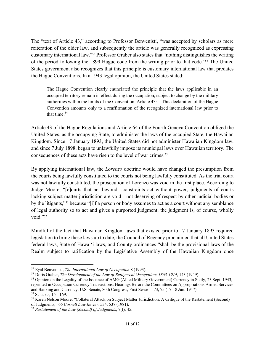The "text of Article 43," according to Professor Benvenisti, "was accepted by scholars as mere reiteration of the older law, and subsequently the article was generally recognized as expressing customary international law."52 Professor Graber also states that "nothing distinguishes the writing of the period following the 1899 Hague code from the writing prior to that code."53 The United States government also recognizes that this principle is customary international law that predates the Hague Conventions. In a 1943 legal opinion, the United States stated:

The Hague Convention clearly enunciated the principle that the laws applicable in an occupied territory remain in effect during the occupation, subject to change by the military authorities within the limits of the Convention. Article 43:…This declaration of the Hague Convention amounts only to a reaffirmation of the recognized international law prior to that time. $54$ 

Article 43 of the Hague Regulations and Article 64 of the Fourth Geneva Convention obliged the United States, as the occupying State, to administer the laws of the occupied State, the Hawaiian Kingdom. Since 17 January 1893, the United States did not administer Hawaiian Kingdom law, and since 7 July 1898, began to unlawfully impose its municipal laws over Hawaiian territory. The consequences of these acts have risen to the level of war crimes. 55

By applying international law, the *Lorenzo* doctrine would have changed the presumption from the courts being lawfully constituted to the courts not being lawfully constituted. As the trial court was not lawfully constituted, the prosecution of Lorenzo was void in the first place. According to Judge Moore, "[c]ourts that act beyond…constraints act without power; judgments of courts lacking subject matter jurisdiction are void—not deserving of respect by other judicial bodies or by the litigants,"56 because "[i]f a person or body assumes to act as a court without any semblance of legal authority so to act and gives a purported judgment, the judgment is, of course, wholly void."57

Mindful of the fact that Hawaiian Kingdom laws that existed prior to 17 January 1893 required legislation to bring these laws up to date, the Council of Regency proclaimed that all United States federal laws, State of Hawai'i laws, and County ordinances "shall be the provisional laws of the Realm subject to ratification by the Legislative Assembly of the Hawaiian Kingdom once

<sup>52</sup> Eyal Benvenisti, *The International Law of Occupation* 8 (1993).

<sup>53</sup> Doris Graber, *The Development of the Law of Belligerent Occupation: 1863-1914*, 143 (1949).

<sup>54</sup> Opinion on the Legality of the Issuance of AMG (Allied Military Government) Currency in Sicily, 23 Sept. 1943, reprinted in Occupation Currency Transactions: Hearings Before the Committees on Appropriations Armed Services and Banking and Currency, U.S. Senate, 80th Congress, First Session, 73, 75 (17-18 Jun. 1947). <sup>55</sup> Schabas, 151-169.

<sup>56</sup> Karen Nelson Moore, "Collateral Attack on Subject Matter Jurisdiction: A Critique of the Restatement (Second) of Judgments," 66 *Cornell Law Review* 534, 537 (1981).

<sup>57</sup> *Restatement of the Law (Second) of Judgments*, 7(f), 45.